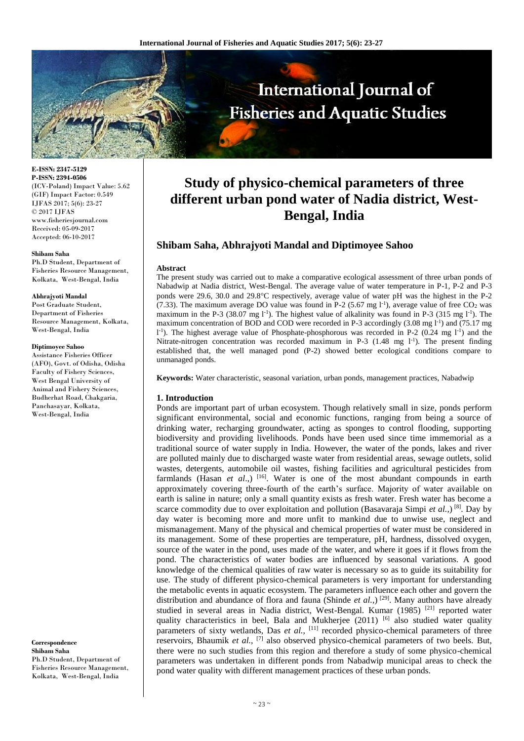

**E-ISSN: 2347-5129 P-ISSN: 2394-0506** (ICV-Poland) Impact Value: 5.62 (GIF) Impact Factor: 0.549 IJFAS 2017; 5(6): 23-27 © 2017 IJFAS www.fisheriesjournal.com Received: 05-09-2017 Accepted: 06-10-2017

#### **Shibam Saha**

Ph.D Student, Department of Fisheries Resource Management, Kolkata, West-Bengal, India

#### **Abhrajyoti Mandal**

Post Graduate Student, Department of Fisheries Resource Management, Kolkata, West-Bengal, India

#### **Diptimoyee Sahoo**

Assistance Fisheries Officer (AFO), Govt. of Odisha, Odisha Faculty of Fishery Sciences, West Bengal University of Animal and Fishery Sciences, Budherhat Road, Chakgaria, Panchasayar, Kolkata, West-Bengal, India

**Correspondence Shibam Saha** Ph.D Student, Department of Fisheries Resource Management, Kolkata, West-Bengal, India

# **Study of physico-chemical parameters of three different urban pond water of Nadia district, West-Bengal, India**

# **Shibam Saha, Abhrajyoti Mandal and Diptimoyee Sahoo**

## **Abstract**

The present study was carried out to make a comparative ecological assessment of three urban ponds of Nabadwip at Nadia district, West-Bengal. The average value of water temperature in P-1, P-2 and P-3 ponds were 29.6, 30.0 and 29.8C respectively, average value of water pH was the highest in the P-2 (7.33). The maximum average DO value was found in P-2 (5.67 mg  $l^{-1}$ ), average value of free CO<sub>2</sub> was maximum in the P-3 (38.07 mg  $l<sup>-1</sup>$ ). The highest value of alkalinity was found in P-3 (315 mg  $l<sup>-1</sup>$ ). The maximum concentration of BOD and COD were recorded in P-3 accordingly (3.08 mg I<sup>-1</sup>) and (75.17 mg  $1^{-1}$ ). The highest average value of Phosphate-phosphorous was recorded in P-2 (0.24 mg  $1^{-1}$ ) and the Nitrate-nitrogen concentration was recorded maximum in P-3  $(1.48 \text{ mg } l^{-1})$ . The present finding established that, the well managed pond (P-2) showed better ecological conditions compare to unmanaged ponds.

**Keywords:** Water characteristic, seasonal variation, urban ponds, management practices, Nabadwip

#### **1. Introduction**

Ponds are important part of urban ecosystem. Though relatively small in size, ponds perform significant environmental, social and economic functions, ranging from being a source of drinking water, recharging groundwater, acting as sponges to control flooding, supporting biodiversity and providing livelihoods. Ponds have been used since time immemorial as a traditional source of water supply in India. However, the water of the ponds, lakes and river are polluted mainly due to discharged waste water from residential areas, sewage outlets, solid wastes, detergents, automobile oil wastes, fishing facilities and agricultural pesticides from farmlands (Hasan *et al.*,) <sup>[16]</sup>. Water is one of the most abundant compounds in earth approximately covering three-fourth of the earth's surface. Majority of water available on earth is saline in nature; only a small quantity exists as fresh water. Fresh water has become a scarce commodity due to over exploitation and pollution (Basavaraja Simpi *et al.*,) <sup>[8]</sup>. Day by day water is becoming more and more unfit to mankind due to unwise use, neglect and mismanagement. Many of the physical and chemical properties of water must be considered in its management. Some of these properties are temperature, pH, hardness, dissolved oxygen, source of the water in the pond, uses made of the water, and where it goes if it flows from the pond. The characteristics of water bodies are influenced by seasonal variations. A good knowledge of the chemical qualities of raw water is necessary so as to guide its suitability for use. The study of different physico-chemical parameters is very important for understanding the metabolic events in aquatic ecosystem. The parameters influence each other and govern the distribution and abundance of flora and fauna (Shinde *et al.*,)<sup>[29]</sup>. Many authors have already studied in several areas in Nadia district, West-Bengal. Kumar (1985)<sup>[21]</sup> reported water quality characteristics in beel, Bala and Mukherjee  $(2011)$  [6] also studied water quality parameters of sixty wetlands, Das *et al.*, <sup>[11]</sup> recorded physico-chemical parameters of three reservoirs, Bhaumik *et al.,* [7] also observed physico-chemical parameters of two beels. But, there were no such studies from this region and therefore a study of some physico-chemical parameters was undertaken in different ponds from Nabadwip municipal areas to check the pond water quality with different management practices of these urban ponds.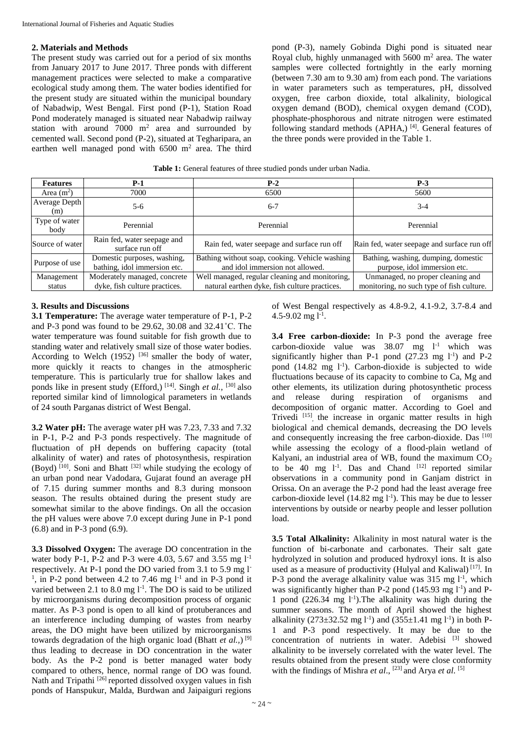## **2. Materials and Methods**

The present study was carried out for a period of six months from January 2017 to June 2017. Three ponds with different management practices were selected to make a comparative ecological study among them. The water bodies identified for the present study are situated within the municipal boundary of Nabadwip, West Bengal. First pond (P-1), Station Road Pond moderately managed is situated near Nabadwip railway station with around  $7000 \text{ m}^2$  area and surrounded by cemented wall. Second pond (P-2), situated at Tegharipara, an earthen well managed pond with  $6500 \text{ m}^2$  area. The third

pond (P-3), namely Gobinda Dighi pond is situated near Royal club, highly unmanaged with  $5600 \text{ m}^2$  area. The water samples were collected fortnightly in the early morning (between 7.30 am to 9.30 am) from each pond. The variations in water parameters such as temperatures, pH, dissolved oxygen, free carbon dioxide, total alkalinity, biological oxygen demand (BOD), chemical oxygen demand (COD), phosphate-phosphorous and nitrate nitrogen were estimated following standard methods (APHA,)<sup>[4]</sup>. General features of the three ponds were provided in the Table 1.

| <b>Features</b>       | P-1                                                         | $P-2$                                                                             | $P-3$                                                               |
|-----------------------|-------------------------------------------------------------|-----------------------------------------------------------------------------------|---------------------------------------------------------------------|
| Area $(m^2)$          | 7000                                                        | 6500                                                                              | 5600                                                                |
| Average Depth<br>(m)  | $5-6$                                                       | $6 - 7$                                                                           | $3-4$                                                               |
| Type of water<br>body | Perennial                                                   | Perennial                                                                         | Perennial                                                           |
| Source of water       | Rain fed, water seepage and<br>surface run off              | Rain fed, water seepage and surface run off                                       | Rain fed, water seepage and surface run off                         |
| Purpose of use        | Domestic purposes, washing,<br>bathing, idol immersion etc. | Bathing without soap, cooking. Vehicle washing<br>and idol immersion not allowed. | Bathing, washing, dumping, domestic<br>purpose, idol immersion etc. |
| Management            | Moderately managed, concrete                                | Well managed, regular cleaning and monitoring,                                    | Unmanaged, no proper cleaning and                                   |
| status                | dyke, fish culture practices.                               | natural earthen dyke, fish culture practices.                                     | monitoring, no such type of fish culture.                           |

# **3. Results and Discussions**

**3.1 Temperature:** The average water temperature of P-1, P-2 and P-3 pond was found to be 29.62, 30.08 and 32.41˚C. The water temperature was found suitable for fish growth due to standing water and relatively small size of those water bodies. According to Welch  $(1952)$  <sup>[36]</sup> smaller the body of water, more quickly it reacts to changes in the atmospheric temperature. This is particularly true for shallow lakes and ponds like in present study (Efford,) [14]. Singh *et al.,* [30] also reported similar kind of limnological parameters in wetlands of 24 south Parganas district of West Bengal.

**3.2 Water pH:** The average water pH was 7.23, 7.33 and 7.32 in P-1, P-2 and P-3 ponds respectively. The magnitude of fluctuation of pH depends on buffering capacity (total alkalinity of water) and rates of photosynthesis, respiration (Boyd)  $[10]$ . Soni and Bhatt  $[32]$  while studying the ecology of an urban pond near Vadodara, Gujarat found an average pH of 7.15 during summer months and 8.3 during monsoon season. The results obtained during the present study are somewhat similar to the above findings. On all the occasion the pH values were above 7.0 except during June in P-1 pond (6.8) and in P-3 pond (6.9).

**3.3 Dissolved Oxygen:** The average DO concentration in the water body P-1, P-2 and P-3 were 4.03, 5.67 and 3.55 mg l-1 respectively. At P-1 pond the DO varied from 3.1 to 5.9 mg l-<sup>1</sup>, in P-2 pond between 4.2 to 7.46 mg  $l^{-1}$  and in P-3 pond it varied between 2.1 to 8.0 mg  $1^{-1}$ . The DO is said to be utilized by microorganisms during decomposition process of organic matter. As P-3 pond is open to all kind of protuberances and an interference including dumping of wastes from nearby areas, the DO might have been utilized by microorganisms towards degradation of the high organic load (Bhatt *et al.,*) [9] thus leading to decrease in DO concentration in the water body. As the P-2 pond is better managed water body compared to others, hence, normal range of DO was found. Nath and Tripathi<sup>[26]</sup> reported dissolved oxygen values in fish ponds of Hanspukur, Malda, Burdwan and Jaipaiguri regions

of West Bengal respectively as 4.8-9.2, 4.1-9.2, 3.7-8.4 and  $4.5 - 9.02$  mg  $1^{-1}$ .

**3.4 Free carbon-dioxide:** In P-3 pond the average free carbon-dioxide value was 38.07 mg l-1 which was significantly higher than P-1 pond  $(27.23 \text{ mg } 1^{-1})$  and P-2 pond  $(14.82 \text{ mg } l^{-1})$ . Carbon-dioxide is subjected to wide fluctuations because of its capacity to combine to Ca, Mg and other elements, its utilization during photosynthetic process and release during respiration of organisms and decomposition of organic matter. According to Goel and Trivedi<sup>[15]</sup>, the increase in organic matter results in high biological and chemical demands, decreasing the DO levels and consequently increasing the free carbon-dioxide. Das [10] while assessing the ecology of a flood-plain wetland of Kalyani, an industrial area of WB, found the maximum  $CO<sub>2</sub>$ to be 40 mg  $1^{-1}$ . Das and Chand  $[12]$  reported similar observations in a community pond in Ganjam district in Orissa. On an average the P-2 pond had the least average free carbon-dioxide level  $(14.82 \text{ mg l}^{-1})$ . This may be due to lesser interventions by outside or nearby people and lesser pollution load.

**3.5 Total Alkalinity:** Alkalinity in most natural water is the function of bi-carbonate and carbonates. Their salt gate hydrolyzed in solution and produced hydroxyl ions. It is also used as a measure of productivity (Hulyal and Kaliwal) [17]. In P-3 pond the average alkalinity value was  $315 \text{ mg } l^{-1}$ , which was significantly higher than P-2 pond  $(145.93 \text{ mg } l^{-1})$  and P-1 pond  $(226.34 \text{ mg } l^{-1})$ . The alkalinity was high during the summer seasons. The month of April showed the highest alkalinity (273 $\pm$ 32.52 mg l<sup>-1</sup>) and (355 $\pm$ 1.41 mg l<sup>-1</sup>) in both P-1 and P-3 pond respectively. It may be due to the concentration of nutrients in water. Adebisi [3] showed alkalinity to be inversely correlated with the water level. The results obtained from the present study were close conformity with the findings of Mishra *et al.*, <sup>[23]</sup> and Arya *et al.* <sup>[5]</sup>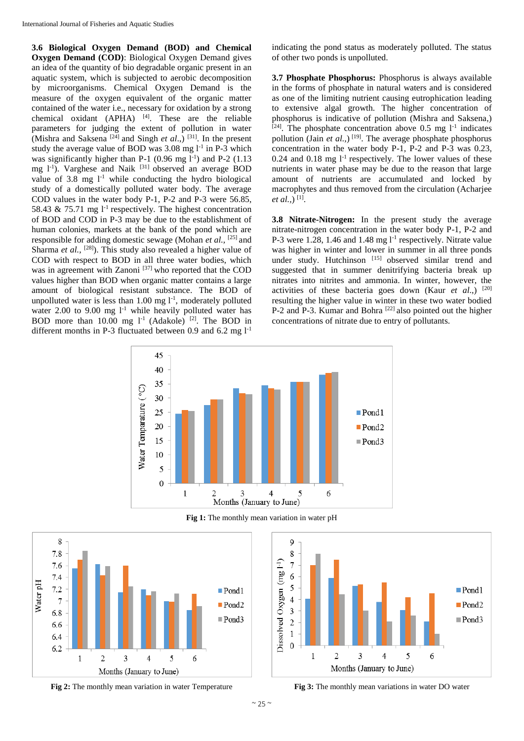**3.6 Biological Oxygen Demand (BOD) and Chemical Oxygen Demand (COD)**: Biological Oxygen Demand gives an idea of the quantity of bio degradable organic present in an aquatic system, which is subjected to aerobic decomposition by microorganisms. Chemical Oxygen Demand is the measure of the oxygen equivalent of the organic matter contained of the water i.e., necessary for oxidation by a strong chemical oxidant  $(APHA)$ <sup>[4]</sup>. These are the reliable parameters for judging the extent of pollution in water (Mishra and Saksena  $[24]$  and Singh *et al.*,)  $[31]$ . In the present study the average value of BOD was  $3.08 \text{ mg } l^{-1}$  in P-3 which was significantly higher than P-1  $(0.96 \text{ mg l}^{-1})$  and P-2  $(1.13 \text{ m})$ mg l-1 ). Varghese and Naik [31] observed an average BOD value of  $3.8 \text{ mg}$  l<sup>-1</sup> while conducting the hydro biological study of a domestically polluted water body. The average COD values in the water body P-1, P-2 and P-3 were 56.85, 58.43  $\&$  75.71 mg l<sup>-1</sup> respectively. The highest concentration of BOD and COD in P-3 may be due to the establishment of human colonies, markets at the bank of the pond which are responsible for adding domestic sewage (Mohan *et al.,* [25] and Sharma *et al.*, <sup>[28]</sup>). This study also revealed a higher value of COD with respect to BOD in all three water bodies, which was in agreement with Zanoni<sup>[37]</sup> who reported that the COD values higher than BOD when organic matter contains a large amount of biological resistant substance. The BOD of unpolluted water is less than  $1.00 \text{ mg } l^{-1}$ , moderately polluted water 2.00 to 9.00 mg  $1<sup>-1</sup>$  while heavily polluted water has BOD more than  $10.00$  mg  $1^{-1}$  (Adakole) <sup>[2]</sup>. The BOD in different months in P-3 fluctuated between 0.9 and 6.2 mg  $1^{-1}$ 

indicating the pond status as moderately polluted. The status of other two ponds is unpolluted.

**3.7 Phosphate Phosphorus:** Phosphorus is always available in the forms of phosphate in natural waters and is considered as one of the limiting nutrient causing eutrophication leading to extensive algal growth. The higher concentration of phosphorus is indicative of pollution (Mishra and Saksena,)  $[24]$ . The phosphate concentration above 0.5 mg  $1^{-1}$  indicates pollution (Jain *et al.*,)<sup>[19]</sup>. The average phosphate phosphorus concentration in the water body P-1, P-2 and P-3 was 0.23, 0.24 and 0.18 mg  $1^{-1}$  respectively. The lower values of these nutrients in water phase may be due to the reason that large amount of nutrients are accumulated and locked by macrophytes and thus removed from the circulation (Acharjee *et al.,*)<sup>[1]</sup>.

**3.8 Nitrate-Nitrogen:** In the present study the average nitrate-nitrogen concentration in the water body P-1, P-2 and P-3 were  $1.28$ , 1.46 and  $1.48$  mg  $1<sup>-1</sup>$  respectively. Nitrate value was higher in winter and lower in summer in all three ponds under study. Hutchinson [15] observed similar trend and suggested that in summer denitrifying bacteria break up nitrates into nitrites and ammonia. In winter, however, the activities of these bacteria goes down (Kaur *et al*.,) [20] resulting the higher value in winter in these two water bodied P-2 and P-3. Kumar and Bohra <sup>[22]</sup> also pointed out the higher concentrations of nitrate due to entry of pollutants.



**Fig 1:** The monthly mean variation in water pH



 $\overline{9}$ 8 Dissolved Oxygen (mg l-1)  $\overline{7}$ 6 5  $\blacksquare$  Pond 1  $\overline{4}$  $\blacksquare$  Pond2 3  $\blacksquare$  Pond3  $\overline{2}$  $\mathbf{1}$  $\overline{0}$  $\mathbf{1}$  $\overline{2}$ 3  $\overline{4}$ 5 6 Months (January to June)

**Fig 2:** The monthly mean variation in water Temperature **Fig 3:** The monthly mean variations in water DO water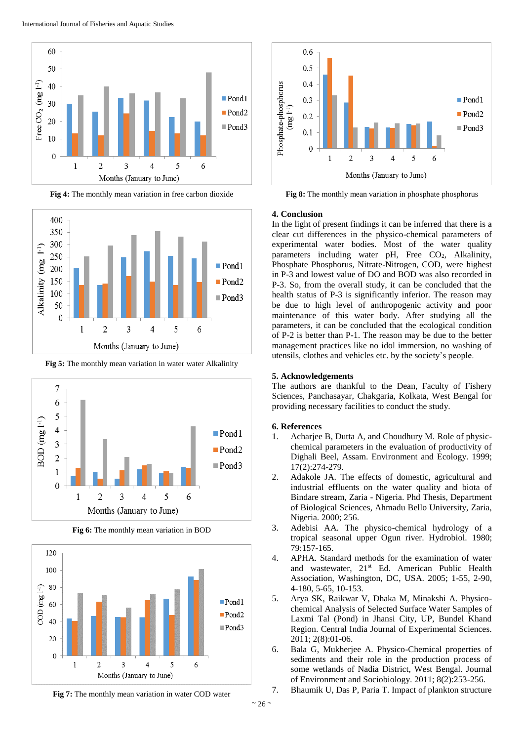

**Fig 4:** The monthly mean variation in free carbon dioxide



**Fig 5:** The monthly mean variation in water water Alkalinity



**Fig 6:** The monthly mean variation in BOD







**Fig 8:** The monthly mean variation in phosphate phosphorus

## **4. Conclusion**

In the light of present findings it can be inferred that there is a clear cut differences in the physico-chemical parameters of experimental water bodies. Most of the water quality parameters including water pH, Free CO<sub>2</sub>, Alkalinity, Phosphate Phosphorus, Nitrate-Nitrogen, COD, were highest in P-3 and lowest value of DO and BOD was also recorded in P-3. So, from the overall study, it can be concluded that the health status of P-3 is significantly inferior. The reason may be due to high level of anthropogenic activity and poor maintenance of this water body. After studying all the parameters, it can be concluded that the ecological condition of P-2 is better than P-1. The reason may be due to the better management practices like no idol immersion, no washing of utensils, clothes and vehicles etc. by the society's people.

# **5. Acknowledgements**

The authors are thankful to the Dean, Faculty of Fishery Sciences, Panchasayar, Chakgaria, Kolkata, West Bengal for providing necessary facilities to conduct the study.

# **6. References**

- 1. Acharjee B, Dutta A, and Choudhury M. Role of physicchemical parameters in the evaluation of productivity of Dighali Beel, Assam. Environment and Ecology. 1999; 17(2):274-279.
- 2. Adakole JA. The effects of domestic, agricultural and industrial effluents on the water quality and biota of Bindare stream, Zaria - Nigeria. Phd Thesis*,* Department of Biological Sciences, Ahmadu Bello University, Zaria, Nigeria. 2000; 256.
- 3. Adebisi AA. The physico-chemical hydrology of a tropical seasonal upper Ogun river. Hydrobiol. 1980; 79:157-165.
- 4. APHA. Standard methods for the examination of water and wastewater, 21<sup>st</sup> Ed. American Public Health Association, Washington, DC, USA. 2005; 1-55, 2-90, 4-180, 5-65, 10-153.
- 5. Arya SK, Raikwar V, Dhaka M, Minakshi A. Physicochemical Analysis of Selected Surface Water Samples of Laxmi Tal (Pond) in Jhansi City, UP, Bundel Khand Region. Central India Journal of Experimental Sciences. 2011; 2(8):01-06.
- 6. Bala G, Mukherjee A. Physico-Chemical properties of sediments and their role in the production process of some wetlands of Nadia District, West Bengal. Journal of Environment and Sociobiology. 2011; 8(2):253-256.
- 7. Bhaumik U, Das P, Paria T. Impact of plankton structure